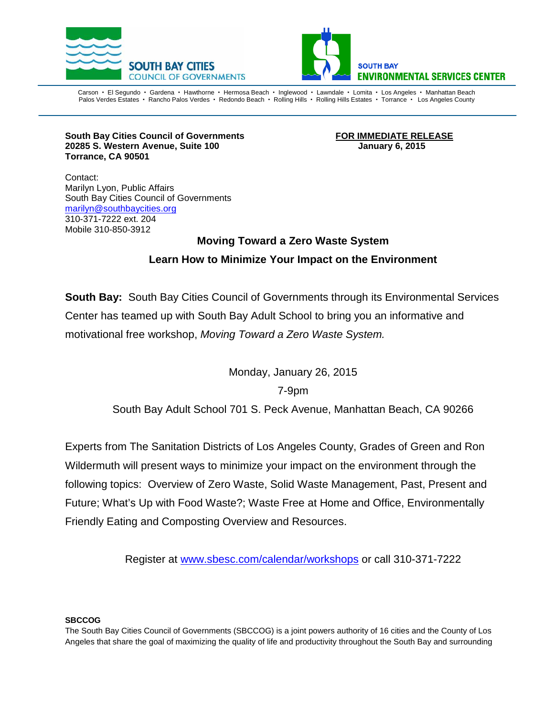



Carson • El Segundo • Gardena • Hawthorne • Hermosa Beach • Inglewood • Lawndale • Lomita • Los Angeles • Manhattan Beach Palos Verdes Estates · Rancho Palos Verdes · Redondo Beach · Rolling Hills · Rolling Hills Estates · Torrance · Los Angeles County

**South Bay Cities Council of Governments FOR IMMEDIATE RELEASE 20285 S. Western Avenue, Suite 100 January 6, 2015 Torrance, CA 90501**

Contact: Marilyn Lyon, Public Affairs South Bay Cities Council of Governments [marilyn@southbaycities.org](mailto:marilyn@southbaycities.org) 310-371-7222 ext. 204 Mobile 310-850-3912

## **Moving Toward a Zero Waste System Learn How to Minimize Your Impact on the Environment**

**South Bay:** South Bay Cities Council of Governments through its Environmental Services Center has teamed up with South Bay Adult School to bring you an informative and motivational free workshop, *Moving Toward a Zero Waste System.*

Monday, January 26, 2015

## 7-9pm

South Bay Adult School 701 S. Peck Avenue, Manhattan Beach, CA 90266

Experts from The Sanitation Districts of Los Angeles County, Grades of Green and Ron Wildermuth will present ways to minimize your impact on the environment through the following topics: Overview of Zero Waste, Solid Waste Management, Past, Present and Future; What's Up with Food Waste?; Waste Free at Home and Office, Environmentally Friendly Eating and Composting Overview and Resources.

Register at [www.sbesc.com/calendar/workshops](http://www.sbesc.com/calendar/workshops) or call 310-371-7222

## **SBCCOG**

The South Bay Cities Council of Governments (SBCCOG) is a joint powers authority of 16 cities and the County of Los Angeles that share the goal of maximizing the quality of life and productivity throughout the South Bay and surrounding